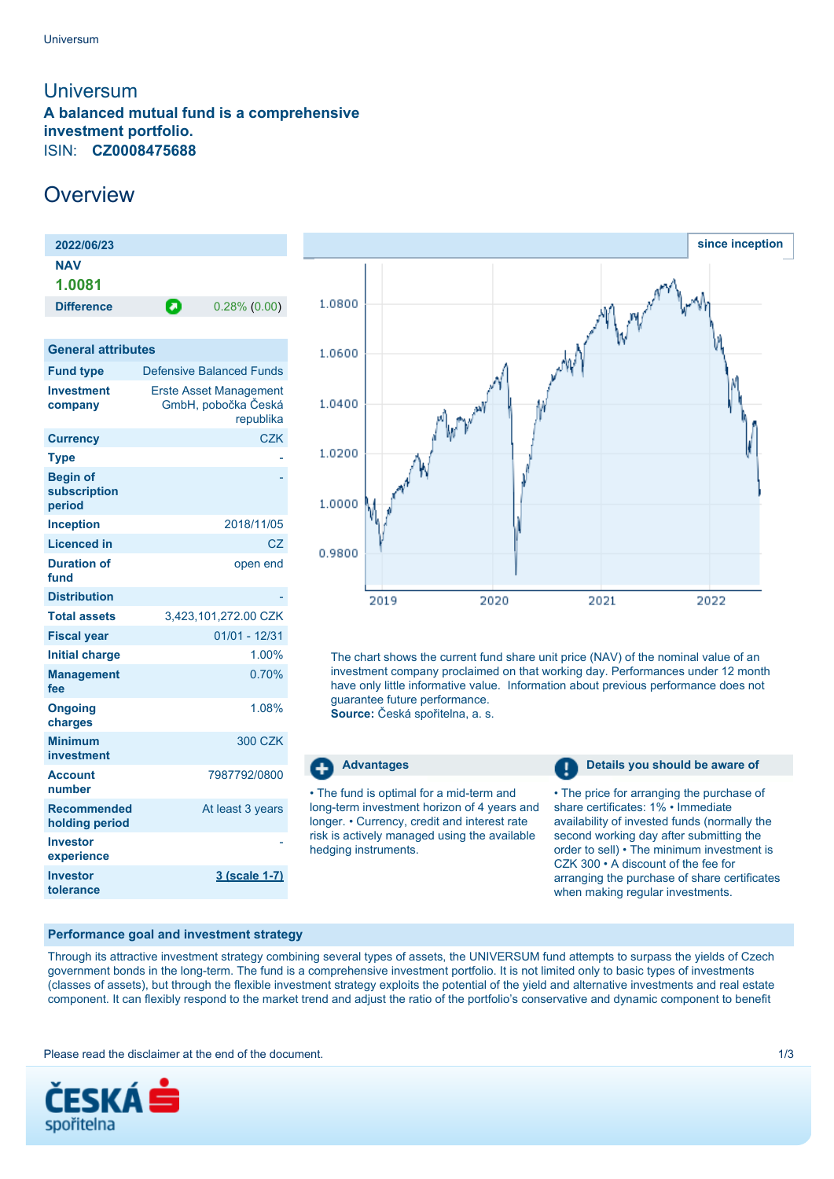## <span id="page-0-0"></span>**Universum A balanced mutual fund is a comprehensive investment portfolio.** ISIN: **CZ0008475688**

# **Overview**

| 2022/06/23                                |                                                                   |
|-------------------------------------------|-------------------------------------------------------------------|
| <b>NAV</b><br>1.0081                      |                                                                   |
| <b>Difference</b>                         | Θ<br>$0.28\%$ (0.00)                                              |
|                                           |                                                                   |
| <b>General attributes</b>                 |                                                                   |
| <b>Fund type</b>                          | Defensive Balanced Funds                                          |
| <b>Investment</b><br>company              | <b>Erste Asset Management</b><br>GmbH, pobočka Česká<br>republika |
| <b>Currency</b>                           | <b>CZK</b>                                                        |
| Type                                      |                                                                   |
| <b>Begin of</b><br>subscription<br>period |                                                                   |
| <b>Inception</b>                          | 2018/11/05                                                        |
| <b>Licenced in</b>                        | CZ                                                                |
| <b>Duration of</b><br>fund                | open end                                                          |
| <b>Distribution</b>                       |                                                                   |
| <b>Total assets</b>                       | 3,423,101,272.00 CZK                                              |
| <b>Fiscal year</b>                        | $01/01 - 12/31$                                                   |
| <b>Initial charge</b>                     | 1.00%                                                             |
| <b>Management</b><br>fee                  | 0.70%                                                             |
| <b>Ongoing</b><br>charges                 | 1.08%                                                             |
| <b>Minimum</b><br>investment              | 300 CZK                                                           |
| <b>Account</b><br>number                  | 7987792/0800                                                      |
| <b>Recommended</b><br>holding period      | At least 3 years                                                  |
| <b>Investor</b><br>experience             |                                                                   |
| <b>Investor</b><br>tolerance              | 3 (scale 1-7)                                                     |



The chart shows the current fund share unit price (NAV) of the nominal value of an investment company proclaimed on that working day. Performances under 12 month have only little informative value. Information about previous performance does not guarantee future performance.

**Source:** Česká spořitelna, a. s.

### Œ

• The fund is optimal for a mid-term and long-term investment horizon of 4 years and longer. • Currency, credit and interest rate risk is actively managed using the available hedging instruments.

**Advantages Details you should be aware of Details you should be aware of** 

• The price for arranging the purchase of share certificates: 1% • Immediate availability of invested funds (normally the second working day after submitting the order to sell) • The minimum investment is CZK 300 • A discount of the fee for arranging the purchase of share certificates when making regular investments.

#### **Performance goal and investment strategy**

Through its attractive investment strategy combining several types of assets, the UNIVERSUM fund attempts to surpass the yields of Czech government bonds in the long-term. The fund is a comprehensive investment portfolio. It is not limited only to basic types of investments (classes of assets), but through the flexible investment strategy exploits the potential of the yield and alternative investments and real estate component. It can flexibly respond to the market trend and adjust the ratio of the portfolio's conservative and dynamic component to benefit

Please read the disclaimer at the end of the document. The state of the document of the state of the document of the state of the document of the state of the state of the document of the state of the state of the state of

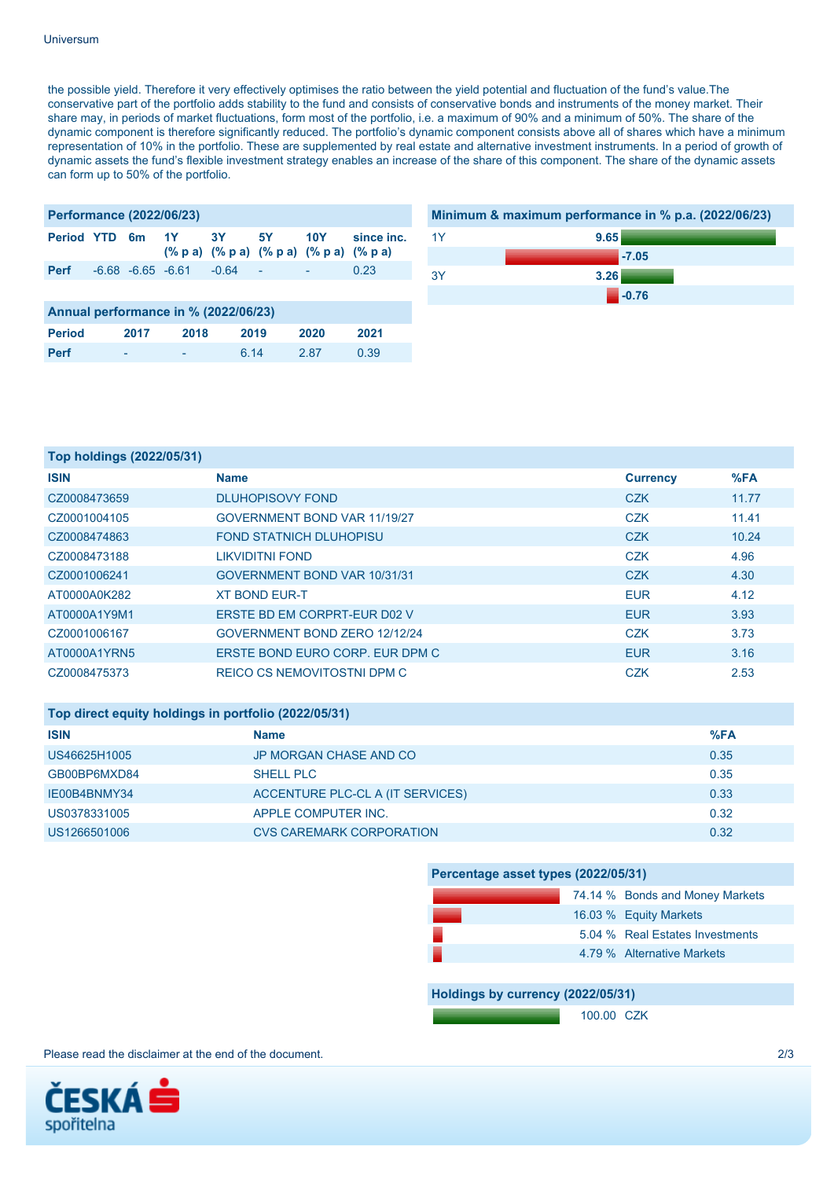#### Universum

the possible yield. Therefore it very effectively optimises the ratio between the yield potential and fluctuation of the fund's value.The conservative part of the portfolio adds stability to the fund and consists of conservative bonds and instruments of the money market. Their share may, in periods of market fluctuations, form most of the portfolio, i.e. a maximum of 90% and a minimum of 50%. The share of the dynamic component is therefore significantly reduced. The portfolio's dynamic component consists above all of shares which have a minimum representation of 10% in the portfolio. These are supplemented by real estate and alternative investment instruments. In a period of growth of dynamic assets the fund's flexible investment strategy enables an increase of the share of this component. The share of the dynamic assets can form up to 50% of the portfolio.

| <b>Performance (2022/06/23)</b>      |  |                       |       |           |      |                                                                 |            |
|--------------------------------------|--|-----------------------|-------|-----------|------|-----------------------------------------------------------------|------------|
| <b>Period YTD</b>                    |  | 6m                    | $-1Y$ | 3Y .      | 5Y . | 10Y 1<br>$(\%$ p a) $(\%$ p a) $(\%$ p a) $(\%$ p a) $(\%$ p a) | since inc. |
| <b>Perf</b>                          |  | $-6.68 - 6.65 - 6.61$ |       | $-0.64 -$ |      |                                                                 | 0.23       |
|                                      |  |                       |       |           |      |                                                                 |            |
| Annual performance in % (2022/06/23) |  |                       |       |           |      |                                                                 |            |
| <b>Period</b>                        |  | 2017                  | 2018  | 2019      |      | 2020                                                            | 2021       |

**Perf** - - 6.14 2.87 0.39



**-0.76**

| Top holdings (2022/05/31) |                                 |                 |       |
|---------------------------|---------------------------------|-----------------|-------|
| <b>ISIN</b>               | <b>Name</b>                     | <b>Currency</b> | %FA   |
| CZ0008473659              | <b>DLUHOPISOVY FOND</b>         | <b>CZK</b>      | 11.77 |
| CZ0001004105              | GOVERNMENT BOND VAR 11/19/27    | <b>CZK</b>      | 11.41 |
| CZ0008474863              | <b>FOND STATNICH DLUHOPISU</b>  | <b>CZK</b>      | 10.24 |
| CZ0008473188              | <b>LIKVIDITNI FOND</b>          | <b>CZK</b>      | 4.96  |
| CZ0001006241              | GOVERNMENT BOND VAR 10/31/31    | <b>CZK</b>      | 4.30  |
| AT0000A0K282              | <b>XT BOND EUR-T</b>            | <b>EUR</b>      | 4.12  |
| AT0000A1Y9M1              | ERSTE BD EM CORPRT-EUR D02 V    | <b>EUR</b>      | 3.93  |
| CZ0001006167              | GOVERNMENT BOND ZERO 12/12/24   | <b>CZK</b>      | 3.73  |
| AT0000A1YRN5              | ERSTE BOND EURO CORP. EUR DPM C | <b>EUR</b>      | 3.16  |
| CZ0008475373              | REICO CS NEMOVITOSTNI DPM C     | <b>CZK</b>      | 2.53  |

| Top direct equity holdings in portfolio (2022/05/31) |                                  |      |  |
|------------------------------------------------------|----------------------------------|------|--|
| <b>ISIN</b>                                          | <b>Name</b>                      | %FA  |  |
| US46625H1005                                         | JP MORGAN CHASE AND CO           | 0.35 |  |
| GB00BP6MXD84                                         | <b>SHELL PLC</b>                 | 0.35 |  |
| IE00B4BNMY34                                         | ACCENTURE PLC-CL A (IT SERVICES) | 0.33 |  |
| US0378331005                                         | APPLE COMPUTER INC.              | 0.32 |  |
| US1266501006                                         | CVS CAREMARK CORPORATION         | 0.32 |  |

| Percentage asset types (2022/05/31) |  |                                 |  |  |
|-------------------------------------|--|---------------------------------|--|--|
|                                     |  | 74.14 % Bonds and Money Markets |  |  |
|                                     |  | 16.03 % Equity Markets          |  |  |
|                                     |  | 5.04 % Real Estates Investments |  |  |
|                                     |  | 4.79 % Alternative Markets      |  |  |

**Holdings by currency (2022/05/31)**

100.00 CZK

Please read the disclaimer at the end of the document. 2/3